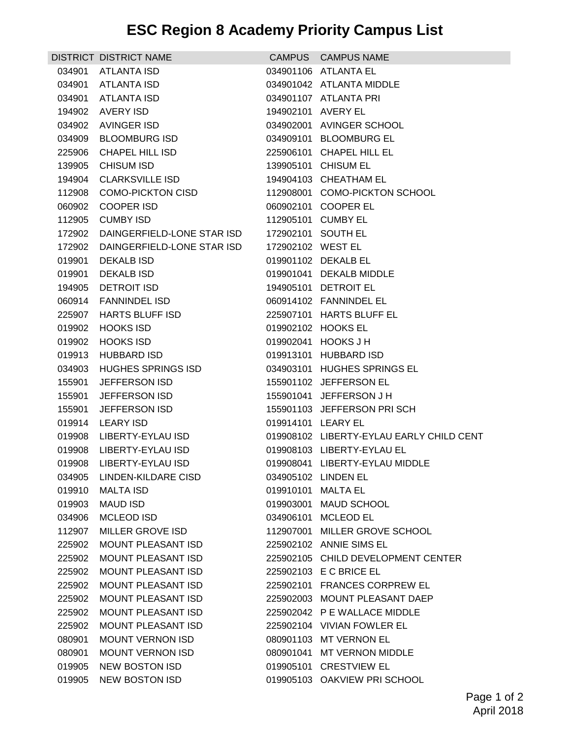## **ESC Region 8 Academy Priority Campus List**

|        | DISTRICT DISTRICT NAME     |                    | CAMPUS CAMPUS NAME                       |
|--------|----------------------------|--------------------|------------------------------------------|
| 034901 | <b>ATLANTA ISD</b>         |                    | 034901106 ATLANTA EL                     |
| 034901 | ATLANTA ISD                |                    | 034901042 ATLANTA MIDDLE                 |
| 034901 | <b>ATLANTA ISD</b>         |                    | 034901107 ATLANTA PRI                    |
| 194902 | AVERY ISD                  | 194902101 AVERY EL |                                          |
| 034902 | AVINGER ISD                |                    | 034902001 AVINGER SCHOOL                 |
| 034909 | <b>BLOOMBURG ISD</b>       |                    | 034909101 BLOOMBURG EL                   |
| 225906 | <b>CHAPEL HILL ISD</b>     |                    | 225906101 CHAPEL HILL EL                 |
| 139905 | <b>CHISUM ISD</b>          |                    | 139905101 CHISUM EL                      |
| 194904 | <b>CLARKSVILLE ISD</b>     |                    | 194904103 CHEATHAM EL                    |
| 112908 | <b>COMO-PICKTON CISD</b>   |                    | 112908001 COMO-PICKTON SCHOOL            |
| 060902 | <b>COOPER ISD</b>          |                    | 060902101 COOPER EL                      |
| 112905 | <b>CUMBY ISD</b>           |                    | 112905101 CUMBY EL                       |
| 172902 | DAINGERFIELD-LONE STAR ISD |                    | 172902101 SOUTH EL                       |
| 172902 | DAINGERFIELD-LONE STAR ISD | 172902102 WEST EL  |                                          |
| 019901 | <b>DEKALB ISD</b>          |                    | 019901102 DEKALB EL                      |
| 019901 | <b>DEKALB ISD</b>          |                    | 019901041 DEKALB MIDDLE                  |
| 194905 | DETROIT ISD                |                    | 194905101 DETROIT EL                     |
| 060914 | <b>FANNINDEL ISD</b>       |                    | 060914102 FANNINDEL EL                   |
| 225907 | <b>HARTS BLUFF ISD</b>     |                    | 225907101 HARTS BLUFF EL                 |
| 019902 | <b>HOOKS ISD</b>           |                    | 019902102 HOOKS EL                       |
| 019902 | <b>HOOKS ISD</b>           |                    | 019902041 HOOKS J H                      |
| 019913 | <b>HUBBARD ISD</b>         |                    | 019913101 HUBBARD ISD                    |
| 034903 | <b>HUGHES SPRINGS ISD</b>  |                    | 034903101 HUGHES SPRINGS EL              |
| 155901 | JEFFERSON ISD              |                    | 155901102 JEFFERSON EL                   |
| 155901 | JEFFERSON ISD              |                    | 155901041 JEFFERSON J H                  |
| 155901 | JEFFERSON ISD              |                    | 155901103 JEFFERSON PRISCH               |
| 019914 | <b>LEARY ISD</b>           | 019914101 LEARY EL |                                          |
| 019908 | LIBERTY-EYLAU ISD          |                    | 019908102 LIBERTY-EYLAU EARLY CHILD CENT |
| 019908 | LIBERTY-EYLAU ISD          |                    | 019908103 LIBERTY-EYLAU EL               |
|        | 019908 LIBERTY-EYLAU ISD   |                    | 019908041 LIBERTY-EYLAU MIDDLE           |
|        | 034905 LINDEN-KILDARE CISD |                    | 034905102 LINDEN EL                      |
| 019910 | <b>MALTA ISD</b>           | 019910101 MALTA EL |                                          |
| 019903 | <b>MAUD ISD</b>            |                    | 019903001 MAUD SCHOOL                    |
| 034906 | <b>MCLEOD ISD</b>          |                    | 034906101 MCLEOD EL                      |
| 112907 | MILLER GROVE ISD           |                    | 112907001 MILLER GROVE SCHOOL            |
| 225902 | MOUNT PLEASANT ISD         |                    | 225902102 ANNIE SIMS EL                  |
| 225902 | <b>MOUNT PLEASANT ISD</b>  |                    | 225902105 CHILD DEVELOPMENT CENTER       |
| 225902 | <b>MOUNT PLEASANT ISD</b>  |                    | 225902103 E C BRICE EL                   |
| 225902 | <b>MOUNT PLEASANT ISD</b>  |                    | 225902101 FRANCES CORPREW EL             |
| 225902 | MOUNT PLEASANT ISD         |                    | 225902003 MOUNT PLEASANT DAEP            |
| 225902 | <b>MOUNT PLEASANT ISD</b>  |                    | 225902042 P E WALLACE MIDDLE             |
| 225902 | MOUNT PLEASANT ISD         |                    | 225902104 VIVIAN FOWLER EL               |
| 080901 | <b>MOUNT VERNON ISD</b>    |                    | 080901103 MT VERNON EL                   |
| 080901 | <b>MOUNT VERNON ISD</b>    |                    | 080901041 MT VERNON MIDDLE               |
| 019905 | <b>NEW BOSTON ISD</b>      |                    | 019905101 CRESTVIEW EL                   |
| 019905 | <b>NEW BOSTON ISD</b>      |                    | 019905103 OAKVIEW PRI SCHOOL             |